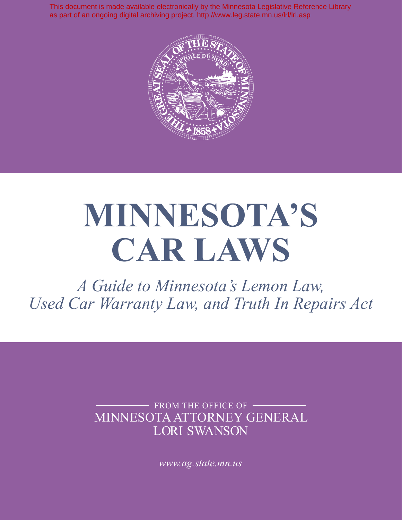This document is made available electronically by the Minnesota Legislative Reference Library as part of an ongoing digital archiving project. http://www.leg.state.mn.us/lrl/lrl.asp



# **MINNESOTA'S CAR LAWS**

*A Guide to Minnesota's Lemon Law, Used Car Warranty Law, and Truth In Repairs Act*

> MINNESOTA ATTORNEY GENERAL LORI SWANSON FROM THE OFFICE OF -

> > *www.ag.state.mn.us*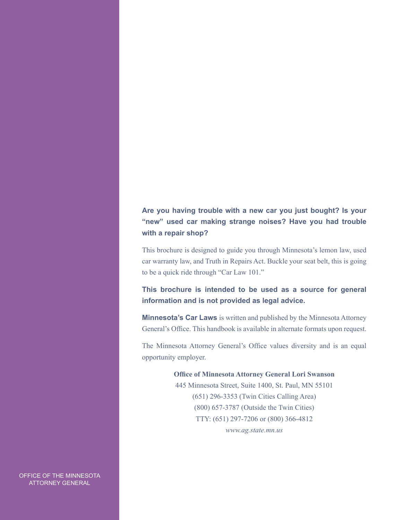#### **Are you having trouble with a new car you just bought? Is your "new" used car making strange noises? Have you had trouble with a repair shop?**

This brochure is designed to guide you through Minnesota's lemon law, used car warranty law, and Truth in Repairs Act. Buckle your seat belt, this is going to be a quick ride through "Car Law 101."

**This brochure is intended to be used as a source for general information and is not provided as legal advice.**

**Minnesota's Car Laws** is written and published by the Minnesota Attorney General's Office. This handbook is available in alternate formats upon request.

The Minnesota Attorney General's Office values diversity and is an equal opportunity employer.

#### **Office of Minnesota Attorney General Lori Swanson**

445 Minnesota Street, Suite 1400, St. Paul, MN 55101 (651) 296-3353 (Twin Cities Calling Area) (800) 657-3787 (Outside the Twin Cities) TTY: (651) 297-7206 or (800) 366-4812 *www.ag.state.mn.us*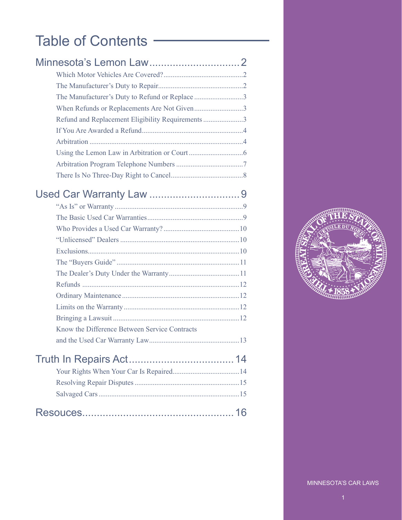# Table of Contents —

| The Manufacturer's Duty to Refund or Replace 3    |  |
|---------------------------------------------------|--|
| When Refunds or Replacements Are Not Given3       |  |
| Refund and Replacement Eligibility Requirements 3 |  |
|                                                   |  |
|                                                   |  |
|                                                   |  |
|                                                   |  |
|                                                   |  |

# Used Car Warranty Law ...............................9

| Know the Difference Between Service Contracts |  |
|-----------------------------------------------|--|
|                                               |  |
|                                               |  |
|                                               |  |
|                                               |  |
|                                               |  |
|                                               |  |

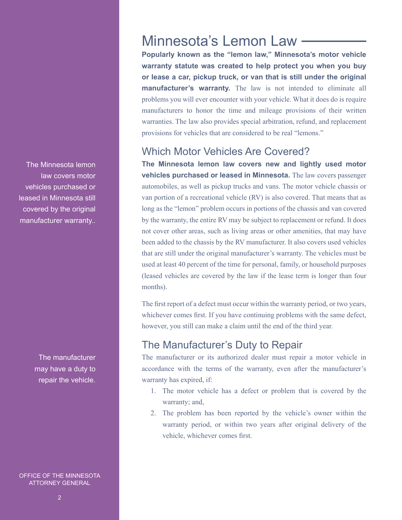The Minnesota lemon law covers motor vehicles purchased or leased in Minnesota still covered by the original manufacturer warranty..

> The manufacturer may have a duty to repair the vehicle.

OFFICE OF THE MINNESOTA ATTORNEY GENERAL

# Minnesota's Lemon Law

**Popularly known as the "lemon law," Minnesota's motor vehicle warranty statute was created to help protect you when you buy or lease a car, pickup truck, or van that is still under the original manufacturer's warranty.** The law is not intended to eliminate all problems you will ever encounter with your vehicle. What it does do is require manufacturers to honor the time and mileage provisions of their written warranties. The law also provides special arbitration, refund, and replacement provisions for vehicles that are considered to be real "lemons."

#### Which Motor Vehicles Are Covered?

**The Minnesota lemon law covers new and lightly used motor vehicles purchased or leased in Minnesota.** The law covers passenger automobiles, as well as pickup trucks and vans. The motor vehicle chassis or van portion of a recreational vehicle (RV) is also covered. That means that as long as the "lemon" problem occurs in portions of the chassis and van covered by the warranty, the entire RV may be subject to replacement or refund. It does not cover other areas, such as living areas or other amenities, that may have been added to the chassis by the RV manufacturer. It also covers used vehicles that are still under the original manufacturer's warranty. The vehicles must be used at least 40 percent of the time for personal, family, or household purposes (leased vehicles are covered by the law if the lease term is longer than four months).

The first report of a defect must occur within the warranty period, or two years, whichever comes first. If you have continuing problems with the same defect, however, you still can make a claim until the end of the third year.

# The Manufacturer's Duty to Repair

The manufacturer or its authorized dealer must repair a motor vehicle in accordance with the terms of the warranty, even after the manufacturer's warranty has expired, if:

- 1. The motor vehicle has a defect or problem that is covered by the warranty; and,
- 2. The problem has been reported by the vehicle's owner within the warranty period, or within two years after original delivery of the vehicle, whichever comes first.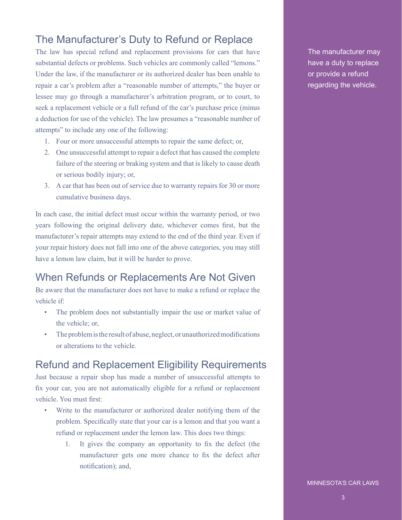## The Manufacturer's Duty to Refund or Replace

The law has special refund and replacement provisions for cars that have substantial defects or problems. Such vehicles are commonly called "lemons." Under the law, if the manufacturer or its authorized dealer has been unable to repair a car's problem after a "reasonable number of attempts," the buyer or lessee may go through a manufacturer's arbitration program, or to court, to seek a replacement vehicle or a full refund of the car's purchase price (minus a deduction for use of the vehicle). The law presumes a "reasonable number of attempts" to include any one of the following:

- 1. Four or more unsuccessful attempts to repair the same defect; or,
- 2. One unsuccessful attempt to repair a defect that has caused the complete failure of the steering or braking system and that is likely to cause death or serious bodily injury; or,
- 3. A car that has been out of service due to warranty repairs for 30 or more cumulative business days.

In each case, the initial defect must occur within the warranty period, or two years following the original delivery date, whichever comes first, but the manufacturer's repair attempts may extend to the end of the third year. Even if your repair history does not fall into one of the above categories, you may still have a lemon law claim, but it will be harder to prove.

## When Refunds or Replacements Are Not Given

Be aware that the manufacturer does not have to make a refund or replace the vehicle if:

- The problem does not substantially impair the use or market value of the vehicle; or,
- The problem is the result of abuse, neglect, or unauthorized modifications or alterations to the vehicle.

#### Refund and Replacement Eligibility Requirements

Just because a repair shop has made a number of unsuccessful attempts to fix your car, you are not automatically eligible for a refund or replacement vehicle. You must first:

- Write to the manufacturer or authorized dealer notifying them of the problem. Specifically state that your car is a lemon and that you want a refund or replacement under the lemon law. This does two things:
	- 1. It gives the company an opportunity to fix the defect (the manufacturer gets one more chance to fix the defect after notification); and,

The manufacturer may have a duty to replace or provide a refund regarding the vehicle.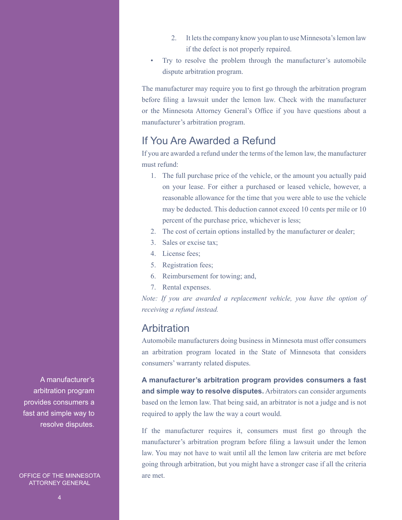- 2. It lets the company know you plan to use Minnesota's lemon law if the defect is not properly repaired.
- Try to resolve the problem through the manufacturer's automobile dispute arbitration program.

The manufacturer may require you to first go through the arbitration program before filing a lawsuit under the lemon law. Check with the manufacturer or the Minnesota Attorney General's Office if you have questions about a manufacturer's arbitration program.

#### If You Are Awarded a Refund

If you are awarded a refund under the terms of the lemon law, the manufacturer must refund:

- 1. The full purchase price of the vehicle, or the amount you actually paid on your lease. For either a purchased or leased vehicle, however, a reasonable allowance for the time that you were able to use the vehicle may be deducted. This deduction cannot exceed 10 cents per mile or 10 percent of the purchase price, whichever is less;
- 2. The cost of certain options installed by the manufacturer or dealer;
- 3. Sales or excise tax;
- 4. License fees;
- 5. Registration fees;
- 6. Reimbursement for towing; and,
- 7. Rental expenses.

*Note: If you are awarded a replacement vehicle, you have the option of receiving a refund instead.* 

#### Arbitration

Automobile manufacturers doing business in Minnesota must offer consumers an arbitration program located in the State of Minnesota that considers consumers' warranty related disputes.

**A manufacturer's arbitration program provides consumers a fast and simple way to resolve disputes.** Arbitrators can consider arguments based on the lemon law. That being said, an arbitrator is not a judge and is not required to apply the law the way a court would.

If the manufacturer requires it, consumers must first go through the manufacturer's arbitration program before filing a lawsuit under the lemon law. You may not have to wait until all the lemon law criteria are met before going through arbitration, but you might have a stronger case if all the criteria are met.

A manufacturer's arbitration program provides consumers a fast and simple way to resolve disputes.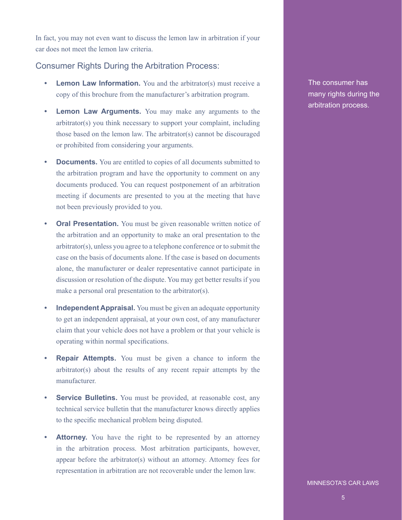In fact, you may not even want to discuss the lemon law in arbitration if your car does not meet the lemon law criteria.

#### Consumer Rights During the Arbitration Process:

- **•• Lemon Law Information.** You and the arbitrator(s) must receive a copy of this brochure from the manufacturer's arbitration program.
- **• Lemon Law Arguments.** You may make any arguments to the arbitrator(s) you think necessary to support your complaint, including those based on the lemon law. The arbitrator(s) cannot be discouraged or prohibited from considering your arguments.
- **• Documents.** You are entitled to copies of all documents submitted to the arbitration program and have the opportunity to comment on any documents produced. You can request postponement of an arbitration meeting if documents are presented to you at the meeting that have not been previously provided to you.
- **•• Oral Presentation.** You must be given reasonable written notice of the arbitration and an opportunity to make an oral presentation to the arbitrator(s), unless you agree to a telephone conference or to submit the case on the basis of documents alone. If the case is based on documents alone, the manufacturer or dealer representative cannot participate in discussion or resolution of the dispute. You may get better results if you make a personal oral presentation to the arbitrator(s).
- **Independent Appraisal.** You must be given an adequate opportunity to get an independent appraisal, at your own cost, of any manufacturer claim that your vehicle does not have a problem or that your vehicle is operating within normal specifications.
- **• Repair Attempts.** You must be given a chance to inform the arbitrator(s) about the results of any recent repair attempts by the manufacturer.
- **Service Bulletins.** You must be provided, at reasonable cost, any technical service bulletin that the manufacturer knows directly applies to the specific mechanical problem being disputed.
- **Attorney.** You have the right to be represented by an attorney in the arbitration process. Most arbitration participants, however, appear before the arbitrator(s) without an attorney. Attorney fees for representation in arbitration are not recoverable under the lemon law.

The consumer has many rights during the arbitration process.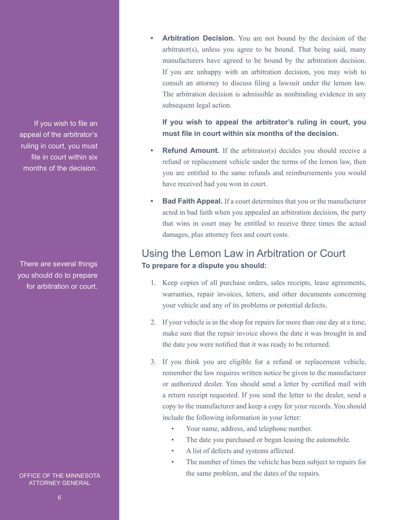If you wish to file an appeal of the arbitrator's ruling in court, you must file in court within six months of the decision.

There are several things you should do to prepare for arbitration or court.

OFFICE OF THE MINNESOTA ATTORNEY GENERAL

**• Arbitration Decision.** You are not bound by the decision of the arbitrator(s), unless you agree to be bound. That being said, many manufacturers have agreed to be bound by the arbitration decision. If you are unhappy with an arbitration decision, you may wish to consult an attorney to discuss filing a lawsuit under the lemon law. The arbitration decision is admissible as nonbinding evidence in any subsequent legal action.

**If you wish to appeal the arbitrator's ruling in court, you must file in court within six months of the decision.** 

- **Refund Amount.** If the arbitrator(s) decides you should receive a refund or replacement vehicle under the terms of the lemon law, then you are entitled to the same refunds and reimbursements you would have received had you won in court.
- **Bad Faith Appeal.** If a court determines that you or the manufacturer acted in bad faith when you appealed an arbitration decision, the party that wins in court may be entitled to receive three times the actual damages, plus attorney fees and court costs.

## Using the Lemon Law in Arbitration or Court **To prepare for a dispute you should:**

- 1. Keep copies of all purchase orders, sales receipts, lease agreements, warranties, repair invoices, letters, and other documents concerning your vehicle and any of its problems or potential defects.
- 2. If your vehicle is in the shop for repairs for more than one day at a time, make sure that the repair invoice shows the date it was brought in and the date you were notified that it was ready to be returned.
- 3. If you think you are eligible for a refund or replacement vehicle, remember the law requires written notice be given to the manufacturer or authorized dealer. You should send a letter by certified mail with a return receipt requested. If you send the letter to the dealer, send a copy to the manufacturer and keep a copy for your records. You should include the following information in your letter:
	- Your name, address, and telephone number.
	- The date you purchased or began leasing the automobile.
	- A list of defects and systems affected.
	- The number of times the vehicle has been subject to repairs for the same problem, and the dates of the repairs.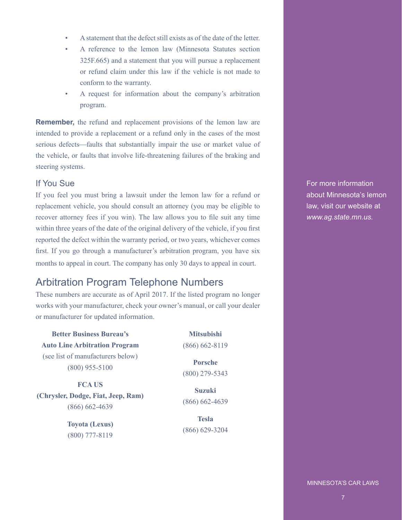- A statement that the defect still exists as of the date of the letter.
- A reference to the lemon law (Minnesota Statutes section 325F.665) and a statement that you will pursue a replacement or refund claim under this law if the vehicle is not made to conform to the warranty.
- A request for information about the company's arbitration program.

**Remember,** the refund and replacement provisions of the lemon law are intended to provide a replacement or a refund only in the cases of the most serious defects—faults that substantially impair the use or market value of the vehicle, or faults that involve life-threatening failures of the braking and steering systems.

#### If You Sue

If you feel you must bring a lawsuit under the lemon law for a refund or replacement vehicle, you should consult an attorney (you may be eligible to recover attorney fees if you win). The law allows you to file suit any time within three years of the date of the original delivery of the vehicle, if you first reported the defect within the warranty period, or two years, whichever comes first. If you go through a manufacturer's arbitration program, you have six months to appeal in court. The company has only 30 days to appeal in court.

# Arbitration Program Telephone Numbers

These numbers are accurate as of April 2017. If the listed program no longer works with your manufacturer, check your owner's manual, or call your dealer or manufacturer for updated information.

**Better Business Bureau's Auto Line Arbitration Program** (see list of manufacturers below) (800) 955-5100

**FCA US (Chrysler, Dodge, Fiat, Jeep, Ram)** (866) 662-4639

> **Toyota (Lexus)** (800) 777-8119

**Mitsubishi** (866) 662-8119

**Porsche** (800) 279-5343

**Suzuki** (866) 662-4639

**Tesla** (866) 629-3204 For more information about Minnesota's lemon law, visit our website at *www.ag.state.mn.us.*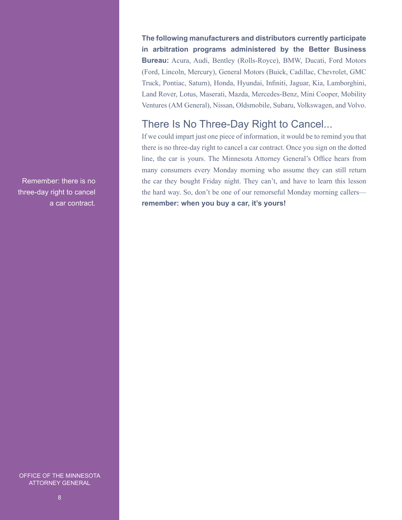Remember: there is no three-day right to cancel a car contract. **The following manufacturers and distributors currently participate in arbitration programs administered by the Better Business Bureau:** Acura, Audi, Bentley (Rolls-Royce), BMW, Ducati, Ford Motors (Ford, Lincoln, Mercury), General Motors (Buick, Cadillac, Chevrolet, GMC Truck, Pontiac, Saturn), Honda, Hyundai, Infiniti, Jaguar, Kia, Lamborghini, Land Rover, Lotus, Maserati, Mazda, Mercedes-Benz, Mini Cooper, Mobility Ventures (AM General), Nissan, Oldsmobile, Subaru, Volkswagen, and Volvo.

#### There Is No Three-Day Right to Cancel...

If we could impart just one piece of information, it would be to remind you that there is no three-day right to cancel a car contract. Once you sign on the dotted line, the car is yours. The Minnesota Attorney General's Office hears from many consumers every Monday morning who assume they can still return the car they bought Friday night. They can't, and have to learn this lesson the hard way. So, don't be one of our remorseful Monday morning callers **remember: when you buy a car, it's yours!**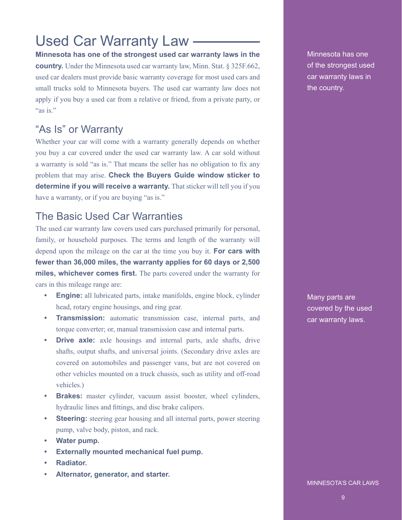# Used Car Warranty Law

**Minnesota has one of the strongest used car warranty laws in the country.** Under the Minnesota used car warranty law, Minn. Stat. § 325F.662, used car dealers must provide basic warranty coverage for most used cars and small trucks sold to Minnesota buyers. The used car warranty law does not apply if you buy a used car from a relative or friend, from a private party, or "as is."

## "As Is" or Warranty

Whether your car will come with a warranty generally depends on whether you buy a car covered under the used car warranty law. A car sold without a warranty is sold "as is." That means the seller has no obligation to fix any problem that may arise. **Check the Buyers Guide window sticker to determine if you will receive a warranty.** That sticker will tell you if you have a warranty, or if you are buying "as is."

## The Basic Used Car Warranties

The used car warranty law covers used cars purchased primarily for personal, family, or household purposes. The terms and length of the warranty will depend upon the mileage on the car at the time you buy it. **For cars with fewer than 36,000 miles, the warranty applies for 60 days or 2,500 miles, whichever comes first.** The parts covered under the warranty for cars in this mileage range are:

- **• Engine:** all lubricated parts, intake manifolds, engine block, cylinder head, rotary engine housings, and ring gear.
- **• Transmission:** automatic transmission case, internal parts, and torque converter; or, manual transmission case and internal parts.
- **• Drive axle:** axle housings and internal parts, axle shafts, drive shafts, output shafts, and universal joints. (Secondary drive axles are covered on automobiles and passenger vans, but are not covered on other vehicles mounted on a truck chassis, such as utility and off-road vehicles.)
- **Brakes:** master cylinder, vacuum assist booster, wheel cylinders, hydraulic lines and fittings, and disc brake calipers.
- **• Steering:** steering gear housing and all internal parts, power steering pump, valve body, piston, and rack.
- **• Water pump.**
- **• Externally mounted mechanical fuel pump.**
- **• Radiator.**
- **• Alternator, generator, and starter.**

Minnesota has one of the strongest used car warranty laws in the country.

Many parts are covered by the used car warranty laws.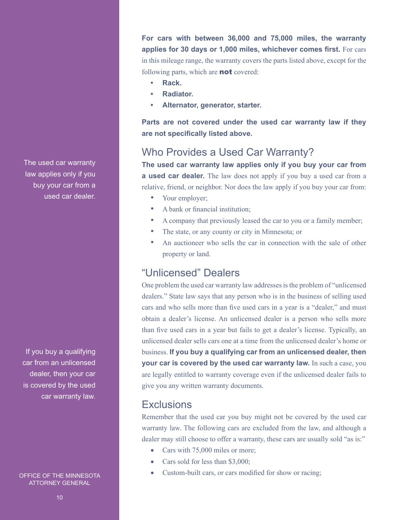The used car warranty law applies only if you buy your car from a used car dealer.

If you buy a qualifying car from an unlicensed dealer, then your car is covered by the used car warranty law.

#### OFFICE OF THE MINNESOTA ATTORNEY GENERAL

**For cars with between 36,000 and 75,000 miles, the warranty applies for 30 days or 1,000 miles, whichever comes first.** For cars in this mileage range, the warranty covers the parts listed above, except for the following parts, which are **not** covered:

- **• Rack.**
- **• Radiator.**
- **• Alternator, generator, starter.**

**Parts are not covered under the used car warranty law if they are not specifically listed above.**

#### Who Provides a Used Car Warranty?

**The used car warranty law applies only if you buy your car from a used car dealer.** The law does not apply if you buy a used car from a relative, friend, or neighbor. Nor does the law apply if you buy your car from:

- Your employer;
- A bank or financial institution;
- A company that previously leased the car to you or a family member;
- The state, or any county or city in Minnesota; or
- An auctioneer who sells the car in connection with the sale of other property or land.

# "Unlicensed" Dealers

One problem the used car warranty law addresses is the problem of "unlicensed dealers." State law says that any person who is in the business of selling used cars and who sells more than five used cars in a year is a "dealer," and must obtain a dealer's license. An unlicensed dealer is a person who sells more than five used cars in a year but fails to get a dealer's license. Typically, an unlicensed dealer sells cars one at a time from the unlicensed dealer's home or business. **If you buy a qualifying car from an unlicensed dealer, then your car is covered by the used car warranty law.** In such a case, you are legally entitled to warranty coverage even if the unlicensed dealer fails to give you any written warranty documents.

#### **Exclusions**

Remember that the used car you buy might not be covered by the used car warranty law. The following cars are excluded from the law, and although a dealer may still choose to offer a warranty, these cars are usually sold "as is:"

- Cars with 75,000 miles or more;
- Cars sold for less than \$3,000;
- • Custom-built cars, or cars modified for show or racing;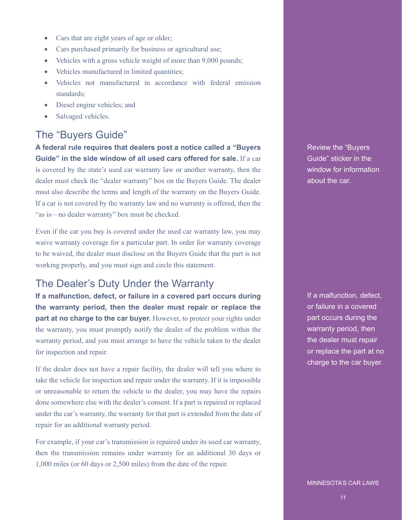- Cars that are eight years of age or older;
- Cars purchased primarily for business or agricultural use;
- Vehicles with a gross vehicle weight of more than 9,000 pounds;
- Vehicles manufactured in limited quantities;
- Vehicles not manufactured in accordance with federal emission standards;
- Diesel engine vehicles; and
- Salvaged vehicles.

## The "Buyers Guide"

**A federal rule requires that dealers post a notice called a "Buyers Guide" in the side window of all used cars offered for sale.** If a car is covered by the state's used car warranty law or another warranty, then the dealer must check the "dealer warranty" box on the Buyers Guide. The dealer must also describe the terms and length of the warranty on the Buyers Guide. If a car is not covered by the warranty law and no warranty is offered, then the "as is—no dealer warranty" box must be checked.

Even if the car you buy is covered under the used car warranty law, you may waive warranty coverage for a particular part. In order for warranty coverage to be waived, the dealer must disclose on the Buyers Guide that the part is not working properly, and you must sign and circle this statement.

#### The Dealer's Duty Under the Warranty

**If a malfunction, defect, or failure in a covered part occurs during the warranty period, then the dealer must repair or replace the part at no charge to the car buyer.** However, to protect your rights under the warranty, you must promptly notify the dealer of the problem within the warranty period, and you must arrange to have the vehicle taken to the dealer for inspection and repair.

If the dealer does not have a repair facility, the dealer will tell you where to take the vehicle for inspection and repair under the warranty. If it is impossible or unreasonable to return the vehicle to the dealer, you may have the repairs done somewhere else with the dealer's consent. If a part is repaired or replaced under the car's warranty, the warranty for that part is extended from the date of repair for an additional warranty period.

For example, if your car's transmission is repaired under its used car warranty, then the transmission remains under warranty for an additional 30 days or 1,000 miles (or 60 days or 2,500 miles) from the date of the repair.

Review the "Buyers Guide" sticker in the window for information about the car.

If a malfunction, defect, or failure in a covered part occurs during the warranty period, then the dealer must repair or replace the part at no charge to the car buyer.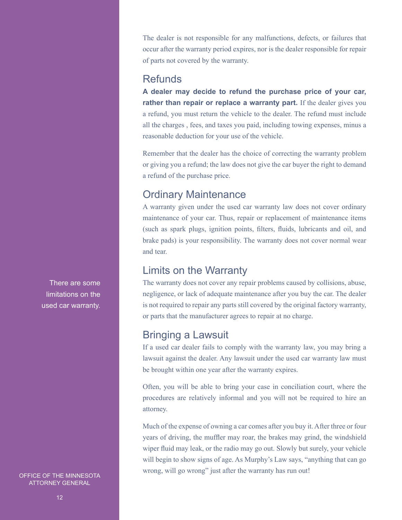The dealer is not responsible for any malfunctions, defects, or failures that occur after the warranty period expires, nor is the dealer responsible for repair of parts not covered by the warranty.

#### **Refunds**

**A dealer may decide to refund the purchase price of your car, rather than repair or replace a warranty part.** If the dealer gives you a refund, you must return the vehicle to the dealer. The refund must include all the charges , fees, and taxes you paid, including towing expenses, minus a reasonable deduction for your use of the vehicle.

Remember that the dealer has the choice of correcting the warranty problem or giving you a refund; the law does not give the car buyer the right to demand a refund of the purchase price.

# Ordinary Maintenance

A warranty given under the used car warranty law does not cover ordinary maintenance of your car. Thus, repair or replacement of maintenance items (such as spark plugs, ignition points, filters, fluids, lubricants and oil, and brake pads) is your responsibility. The warranty does not cover normal wear and tear.

## Limits on the Warranty

The warranty does not cover any repair problems caused by collisions, abuse, negligence, or lack of adequate maintenance after you buy the car. The dealer is not required to repair any parts still covered by the original factory warranty, or parts that the manufacturer agrees to repair at no charge.

# Bringing a Lawsuit

If a used car dealer fails to comply with the warranty law, you may bring a lawsuit against the dealer. Any lawsuit under the used car warranty law must be brought within one year after the warranty expires.

Often, you will be able to bring your case in conciliation court, where the procedures are relatively informal and you will not be required to hire an attorney.

Much of the expense of owning a car comes after you buy it. After three or four years of driving, the muffler may roar, the brakes may grind, the windshield wiper fluid may leak, or the radio may go out. Slowly but surely, your vehicle will begin to show signs of age. As Murphy's Law says, "anything that can go wrong, will go wrong" just after the warranty has run out!

There are some limitations on the used car warranty.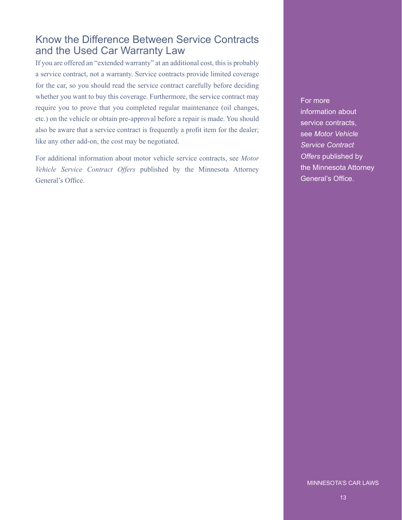#### Know the Difference Between Service Contracts and the Used Car Warranty Law

If you are offered an "extended warranty" at an additional cost, this is probably a service contract, not a warranty. Service contracts provide limited coverage for the car, so you should read the service contract carefully before deciding whether you want to buy this coverage. Furthermore, the service contract may require you to prove that you completed regular maintenance (oil changes, etc.) on the vehicle or obtain pre-approval before a repair is made. You should also be aware that a service contract is frequently a profit item for the dealer; like any other add-on, the cost may be negotiated.

For additional information about motor vehicle service contracts, see *Motor Vehicle Service Contract Offers* published by the Minnesota Attorney General's Office.

For more

information about service contracts, see *Motor Vehicle Service Contract Offers* published by the Minnesota Attorney General's Office.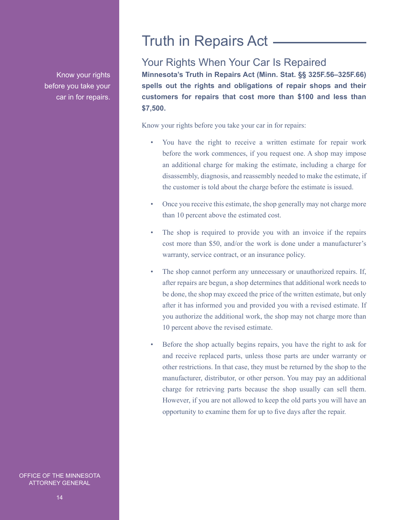Know your rights before you take your car in for repairs.

# Truth in Repairs Act

## Your Rights When Your Car Is Repaired

**Minnesota's Truth in Repairs Act (Minn. Stat. §§ 325F.56–325F.66) spells out the rights and obligations of repair shops and their customers for repairs that cost more than \$100 and less than \$7,500.**

Know your rights before you take your car in for repairs:

- You have the right to receive a written estimate for repair work before the work commences, if you request one. A shop may impose an additional charge for making the estimate, including a charge for disassembly, diagnosis, and reassembly needed to make the estimate, if the customer is told about the charge before the estimate is issued.
- Once you receive this estimate, the shop generally may not charge more than 10 percent above the estimated cost.
- The shop is required to provide you with an invoice if the repairs cost more than \$50, and/or the work is done under a manufacturer's warranty, service contract, or an insurance policy.
- The shop cannot perform any unnecessary or unauthorized repairs. If, after repairs are begun, a shop determines that additional work needs to be done, the shop may exceed the price of the written estimate, but only after it has informed you and provided you with a revised estimate. If you authorize the additional work, the shop may not charge more than 10 percent above the revised estimate.
- Before the shop actually begins repairs, you have the right to ask for and receive replaced parts, unless those parts are under warranty or other restrictions. In that case, they must be returned by the shop to the manufacturer, distributor, or other person. You may pay an additional charge for retrieving parts because the shop usually can sell them. However, if you are not allowed to keep the old parts you will have an opportunity to examine them for up to five days after the repair.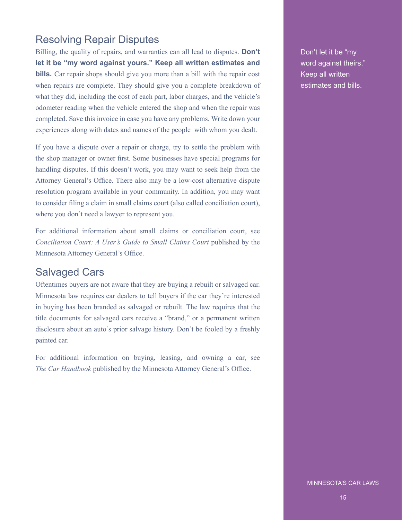## Resolving Repair Disputes

Billing, the quality of repairs, and warranties can all lead to disputes. **Don't let it be "my word against yours." Keep all written estimates and bills.** Car repair shops should give you more than a bill with the repair cost when repairs are complete. They should give you a complete breakdown of what they did, including the cost of each part, labor charges, and the vehicle's odometer reading when the vehicle entered the shop and when the repair was completed. Save this invoice in case you have any problems. Write down your experiences along with dates and names of the people with whom you dealt.

If you have a dispute over a repair or charge, try to settle the problem with the shop manager or owner first. Some businesses have special programs for handling disputes. If this doesn't work, you may want to seek help from the Attorney General's Office. There also may be a low-cost alternative dispute resolution program available in your community. In addition, you may want to consider filing a claim in small claims court (also called conciliation court), where you don't need a lawyer to represent you.

For additional information about small claims or conciliation court, see *Conciliation Court: A User's Guide to Small Claims Court* published by the Minnesota Attorney General's Office.

#### Salvaged Cars

Oftentimes buyers are not aware that they are buying a rebuilt or salvaged car. Minnesota law requires car dealers to tell buyers if the car they're interested in buying has been branded as salvaged or rebuilt. The law requires that the title documents for salvaged cars receive a "brand," or a permanent written disclosure about an auto's prior salvage history. Don't be fooled by a freshly painted car.

For additional information on buying, leasing, and owning a car, see *The Car Handbook* published by the Minnesota Attorney General's Office.

Don't let it be "my word against theirs." Keep all written estimates and bills.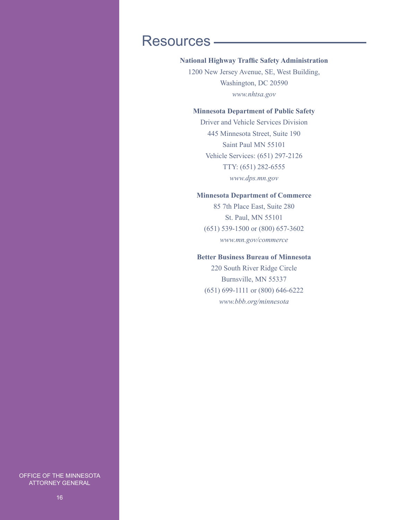# Resources

#### **National Highway Traffic Safety Administration**

1200 New Jersey Avenue, SE, West Building, Washington, DC 20590 *www.nhtsa.gov*

#### **Minnesota Department of Public Safety**

Driver and Vehicle Services Division 445 Minnesota Street, Suite 190 Saint Paul MN 55101 Vehicle Services: (651) 297-2126 TTY: (651) 282-6555 *www.dps.mn.gov*

#### **Minnesota Department of Commerce**

85 7th Place East, Suite 280 St. Paul, MN 55101 (651) 539-1500 or (800) 657-3602 *www.mn.gov/commerce*

#### **Better Business Bureau of Minnesota**

220 South River Ridge Circle Burnsville, MN 55337 (651) 699-1111 or (800) 646-6222 *www.bbb.org/minnesota*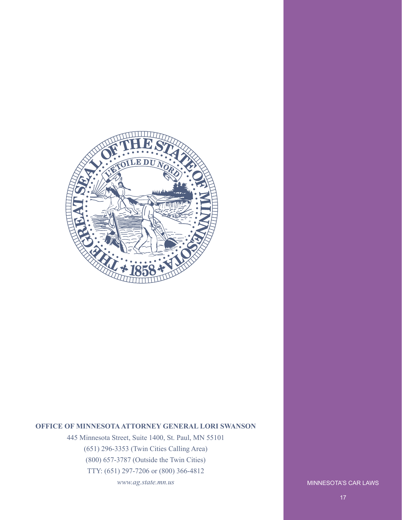

#### **OFFICE OF MINNESOTA ATTORNEY GENERAL LORI SWANSON**

445 Minnesota Street, Suite 1400, St. Paul, MN 55101 (651) 296-3353 (Twin Cities Calling Area) (800) 657-3787 (Outside the Twin Cities) TTY: (651) 297-7206 or (800) 366-4812 *www.ag.state.mn.us*